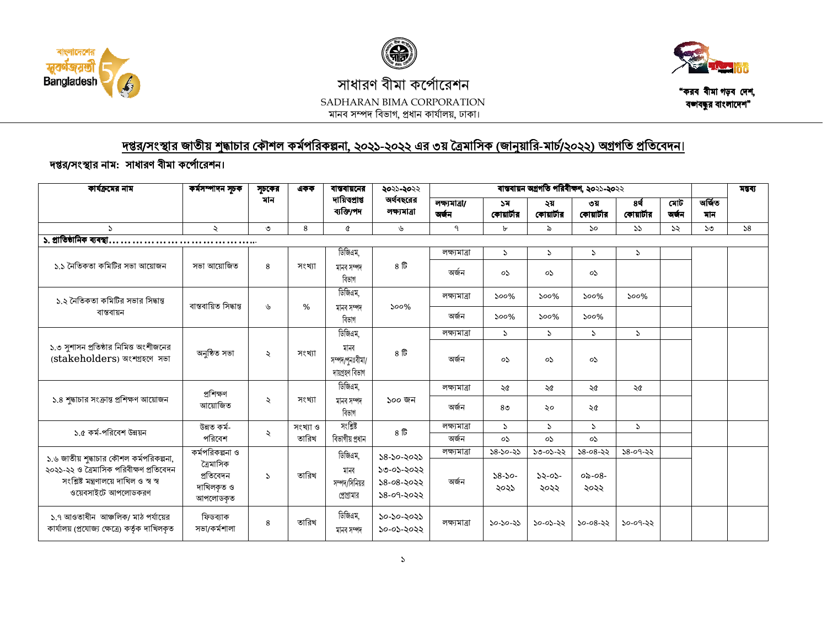





## সাধারণ বীমা কর্পোরেশন SADHARAN BIMA CORPORATION মানব সম্পদ বিভাগ, প্রধান কার্যালয়, ঢাকা।

"করব বীমা গড়ব দেশ, বশ্ববন্ধুর বাংলাদেশ"

## দপ্তর/সংস্থার জাতীয় শুদ্ধাচার কৌশল কর্মপরিকল্পনা, ২০২১-২০২২ এর ৩য় ত্রৈমাসিক (জানুয়ারি-মার্চ/২০২২) অগ্রগতি প্রতিবেদন।

## দপ্তর/সংস্থার নাম: সাধারণ বীমা কর্পোরেশন।

| কাৰ্যক্ৰমের নাম                                                                                          | কর্মসম্পাদন সূচক                                | সচকের         | একক      | বাস্তবায়নের<br>দায়িত্প্ৰাপ্ত<br>ব্যক্তি/পদ | ২০২১-২০২২<br>অর্থবছরের<br>লক্ষ্যমাত্ৰা       | বাস্তবায়ন অগ্রগতি পরিবীক্ষণ, ২০২১-২০২২ |                     |                     |                       |                    |              |               | মন্তব্য |
|----------------------------------------------------------------------------------------------------------|-------------------------------------------------|---------------|----------|----------------------------------------------|----------------------------------------------|-----------------------------------------|---------------------|---------------------|-----------------------|--------------------|--------------|---------------|---------|
|                                                                                                          |                                                 | মান           |          |                                              |                                              | লক্ষ্যমাত্ৰা/<br>অৰ্জন                  | ১ম<br>কোয়ার্টার    | ২য়<br>কোয়ার্টার   | ৩য়<br>কোয়ার্টার     | 8र्थ<br>কোয়ার্টার | মোট<br>অৰ্জন | অৰ্জিত<br>মান |         |
| $\mathcal{L}$                                                                                            | ₹                                               | ৩             | 8        | ¢                                            | ৬                                            | ٩                                       | $\mathbf{b}$        | ৯                   | $\mathcal{S}^{\circ}$ | 55                 | 55           | $50^{\circ}$  | 58      |
| ১. প্রাতিষ্ঠানিক ব্যবস্থা                                                                                |                                                 |               |          |                                              |                                              |                                         |                     |                     |                       |                    |              |               |         |
|                                                                                                          |                                                 |               |          | ডিজিএম,                                      |                                              | লক্ষ্যমাত্ৰা                            | $\mathcal{L}$       | $\mathcal{L}$       | $\mathcal{L}$         | P.                 |              |               |         |
| ১.১ নৈতিকতা কমিটির সভা আয়োজন                                                                            | সভা আয়োজিত                                     | 8             | সংখ্যা   | মানব সম্পদ<br>বিভাগ                          | ৪ টি                                         | অৰ্জন                                   | oS.                 | oS                  | oS.                   |                    |              |               |         |
| ১.২ নৈতিকতা কমিটির সভার সিদ্ধান্ত<br>বাস্তবায়ন                                                          | বাস্তবায়িত সিদ্ধান্ত                           | ৬             | %        | ডিজিএম,                                      | 500%                                         | লক্ষ্যাত্রা                             | $500\%$             | $500\%$             | $500\%$               | $500\%$            |              |               |         |
|                                                                                                          |                                                 |               |          | মানব সম্পদ<br>বিভাগ                          |                                              | অৰ্জন                                   | 500%                | $500\%$             | $500\%$               |                    |              |               |         |
|                                                                                                          |                                                 |               |          | ডিজিএম,                                      |                                              | লক্ষ্যমাত্ৰা                            | $\sum$              | $\mathcal{L}$       | $\mathcal{L}$         | $\mathcal{L}$      |              |               |         |
| ১.৩ সুশাসন প্রতিষ্ঠার নিমিত্ত অংশীজনের<br>(stakeholders) অংশগ্ৰহণে সভা                                   | অনুষ্ঠিত সভা                                    | $\ddot{\sim}$ | সংখ্যা   | মানব<br>সম্পদ/পুনঃবীমা/<br>দায়গ্ৰহণ বিভাগ   | ৪ টি                                         | অৰ্জন                                   | oS                  | oS                  | oS                    |                    |              |               |         |
|                                                                                                          |                                                 |               |          | ডিজিএম,                                      |                                              | লক্ষ্যমাত্ৰা                            | ২৫                  | ২৫                  | ২৫                    | ২৫                 |              |               |         |
| ১.৪ শুদ্ধাচার সংক্রান্ত প্রশিক্ষণ আয়োজন                                                                 | প্ৰশিক্ষণ<br>আয়োজিত                            | $\ddot{\sim}$ | সংখ্যা   | মানব সম্পদ<br>বিভাগ                          | ১০০ জন                                       | অৰ্জন                                   | 8 <sup>o</sup>      | ২০                  | ২৫                    |                    |              |               |         |
| ১.৫ কর্ম-পরিবেশ উন্নয়ন                                                                                  | উন্নত কৰ্ম-<br>পরিবেশ                           |               | সংখ্যা ও | সংশ্লিষ্ট                                    | 8E                                           | লক্ষ্যমাত্ৰা                            | $\mathcal{L}$       | $\mathcal{L}$       | $\mathcal{L}$         | $\mathcal{L}$      |              |               |         |
|                                                                                                          |                                                 | $\ddot{\sim}$ | তারিখ    | বিভাগীয় প্ৰধান                              |                                              | অৰ্জন                                   | oS.                 | oS                  | oS.                   |                    |              |               |         |
| ১.৬ জাতীয় শুদ্ধাচার কৌশল কর্মপরিকল্পনা,                                                                 | কর্মপরিকল্পনা ও                                 |               |          | ডিজিএম,                                      | $58 - 50 - 5055$                             | লক্ষ্যমাত্ৰা                            | $58 - 50 - 55$      | ১৩-০১-২২            | $58 - 08 - 55$        | $58-09-55$         |              |               |         |
| ২০২১-২২ ও ত্রৈমাসিক পরিবীক্ষণ প্রতিবেদন<br>সংশ্লিষ্ট মন্ত্ৰণালয়ে দাখিল ও স্ব স্ব<br>ওয়েবসাইটে আপলোডকরণ | ত্ৰৈমাসিক<br>প্ৰতিবেদন<br>দাখিলকৃত ও<br>আপলোডকত | $\mathcal{L}$ | তারিখ    | মানব<br>সম্পদ/সিনিয়র<br>প্রোগ্রামার         | ১৩-০১-২০২২<br>$58 - 08 - 5022$<br>১৪-০৭-২০২২ | অৰ্জন                                   | $58 - 50 -$<br>২০২১ | $32 - 03 -$<br>২০২২ | $0a - 08 -$<br>২০২২   |                    |              |               |         |
| ১.৭ আওতাধীন আঞ্চলিক/ মাঠ পর্যায়ের<br>কাৰ্যালয় (প্ৰযোজ্য ক্ষেত্ৰে) কৰ্তৃক দাখিলকত                       | ফিডব্যাক<br>সভা/কৰ্মশালা                        | 8             | তারিখ    | ডিজিএম,<br>মানব সম্পদ                        | ১০-১০-২০২১<br>১০-০১-২০২২                     | লক্ষ্যমাত্ৰা                            | $50 - 50 - 55$      | ১০-০১-২২            | $50 - 08 - 55$        | ১০-০৭-২২           |              |               |         |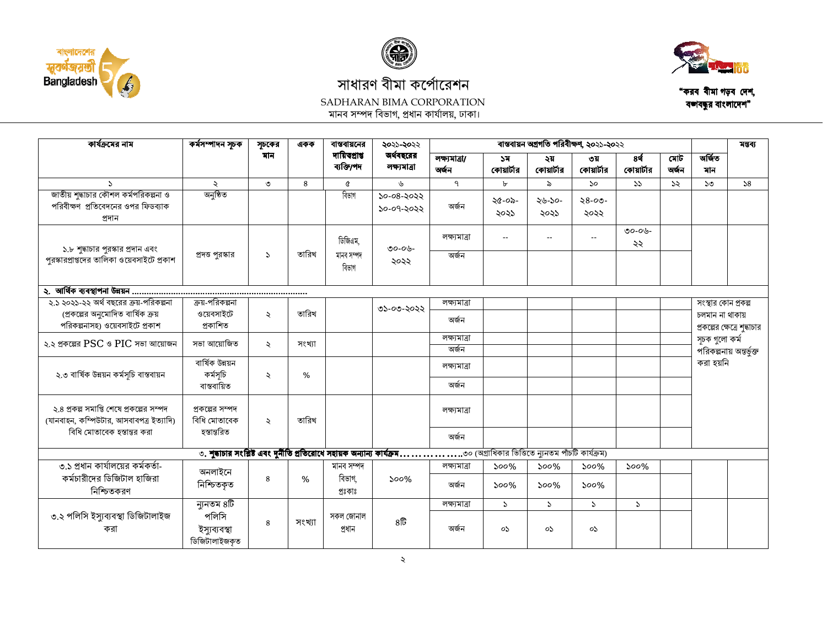







"করব বীমা গড়ব দেশ, বজ্ঞাবন্ধুর বাংলাদেশ"

| কার্যক্রমের নাম                                                                       | কর্মসম্পাদন সূচক                       | সূচকের               | একক    | বান্তবায়নের                 | ২০২১-২০২২                 | বাস্তবায়ন অগ্রগতি পরিবীক্ষণ, ২০২১-২০২২ |                  |                          |                     |                  |                                                 |                     | মন্তব্য                 |  |
|---------------------------------------------------------------------------------------|----------------------------------------|----------------------|--------|------------------------------|---------------------------|-----------------------------------------|------------------|--------------------------|---------------------|------------------|-------------------------------------------------|---------------------|-------------------------|--|
|                                                                                       |                                        | মান                  |        | দায়িত্প্ৰাপ্ত<br>ব্যক্তি/পদ | অর্থবছরের<br>লক্ষ্যমাত্ৰা | লক্ষ্যমাত্ৰা/<br>অৰ্জন                  | ১ম<br>কোয়ার্টার | ২য়<br>কোয়ার্টার        | ৩য়<br>কোয়ার্টার   | 8ई<br>কোয়ার্টার | মোট<br>অৰ্জন                                    | অৰ্জিত<br>মান       |                         |  |
| $\sum$                                                                                | $\ddot{\mathcal{L}}$                   | ৩                    | 8      | ৫                            | ৬                         | ٩                                       | $\mathbf{r}$     | ৯                        | 50                  | 55               | $\mathcal{S}$                                   | $50^{\circ}$        | 58                      |  |
| জাতীয় শুদ্ধাচার কৌশল কর্মপরিকল্পনা ও<br>পরিবীক্ষণ প্রতিবেদনের ওপর ফিডব্যাক<br>প্ৰদান | অনুষ্ঠিত                               |                      |        | বিভাগ                        | ১০-০৪-২০২২<br>১০-০৭-২০২২  | অৰ্জন                                   | ২৫-০৯-<br>২০২১   | ২৬-১০-<br>২০২১           | $28 - 00 -$<br>২০২২ |                  |                                                 |                     |                         |  |
| ১.৮ শুদ্ধাচার পুরস্কার প্রদান এবং                                                     |                                        |                      |        | ডিজিএম.                      | ৩০-০৬-                    | লক্ষ্যমাত্ৰা                            | $-$              | $\overline{\phantom{a}}$ | $-1$                | ৩০-০৬-<br>২২     |                                                 |                     |                         |  |
| পুরস্কারপ্রাপ্তদের তালিকা ওয়েবসাইটে প্রকাশ                                           | প্রদত্ত পুরস্কার                       | S.                   | তারিখ  | মানব সম্পদ<br>বিভাগ          | ২০২২                      | অৰ্জন                                   |                  |                          |                     |                  |                                                 |                     |                         |  |
|                                                                                       |                                        |                      |        |                              |                           |                                         |                  |                          |                     |                  |                                                 |                     |                         |  |
| ২.১ ২০২১-২২ অর্থ বছরের ক্রয়-পরিকল্পনা                                                | ক্রয়-পরিকল্পনা                        |                      |        |                              |                           | লক্ষ্যমাত্ৰা                            |                  |                          |                     |                  |                                                 | সংস্থার কোন প্রকল্প |                         |  |
| (প্রকল্পের অনুমোদিত বার্ষিক ক্রয়<br>পরিকল্পনাসহ) ওয়েবসাইটে প্রকাশ                   | ওয়েবসাইটে<br>প্ৰকাশিত                 | $\ddot{\mathcal{L}}$ | তারিখ  |                              | ৩১-০৩-২০২২                | অৰ্জন                                   |                  |                          |                     |                  | চলমান না থাকায়<br>প্রকল্পের ক্ষেত্রে শুদ্ধাচার |                     |                         |  |
| ২.২ প্রকল্পের $PSC$ ও $PIC$ সভা আয়োজন                                                | সভা আয়োজিত                            | $\ddot{\mathbf{z}}$  | সংখ্যা |                              |                           | লক্ষ্যমাত্ৰা<br>অৰ্জন                   |                  |                          |                     |                  |                                                 | সূচক গুলো কৰ্ম      | পরিকল্পনায় অন্তর্ভুক্ত |  |
| ২.৩ বাৰ্ষিক উন্নয়ন কৰ্মসূচি বাস্তবায়ন                                               | বাৰ্ষিক উন্নয়ন<br>কৰ্মসূচি            | ź.                   | $\%$   |                              |                           | লক্ষ্যমাত্ৰা                            |                  |                          |                     |                  |                                                 | করা হয়নি           |                         |  |
|                                                                                       | বান্তবায়িত                            |                      |        |                              |                           | অৰ্জন                                   |                  |                          |                     |                  |                                                 |                     |                         |  |
| ২.৪ প্রকল্প সমাপ্তি শেষে প্রকল্পের সম্পদ<br>(যানবাহন, কম্পিউটার, আসবাবপত্র ইত্যাদি)   | প্রকল্পের সম্পদ<br>বিধি মোতাবেক        | $\ddot{\sim}$        | তারিখ  |                              |                           | লক্ষ্যমাত্ৰা                            |                  |                          |                     |                  |                                                 |                     |                         |  |
| বিধি মোতাবেক হস্তান্তর করা                                                            | হস্তান্তরিত                            |                      |        |                              |                           | অৰ্জন                                   |                  |                          |                     |                  |                                                 |                     |                         |  |
|                                                                                       |                                        |                      |        |                              |                           |                                         |                  |                          |                     |                  |                                                 |                     |                         |  |
| ৩.১ প্রধান কার্যালয়ের কর্মকর্তা-                                                     | অনলাইনে                                |                      |        |                              | মানব সম্পদ                |                                         | লক্ষ্যমাত্ৰা     | $500\%$                  | $500\%$             | $500\%$          | $500\%$                                         |                     |                         |  |
| কর্মচারীদের ডিজিটাল হাজিরা<br>নিশ্চিতকরণ                                              | নিশ্চিতকৃত                             | 8                    | $\%$   | বিভাগ.<br>প্ৰঃকাঃ            | $500\%$                   | অৰ্জন                                   | $500\%$          | $500\%$                  | $500\%$             |                  |                                                 |                     |                         |  |
|                                                                                       | ন্যুনতম ৪টি                            |                      |        |                              |                           | লক্ষ্যমাত্ৰা                            | $\mathcal{L}$    | $\mathcal{L}$            | $\mathcal{L}$       | $\mathcal{L}$    |                                                 |                     |                         |  |
| ৩.২ পলিসি ইস্যুব্যবস্থা ডিজিটালাইজ<br>করা                                             | পলিসি<br>ইস্যুব্যবস্থা<br>ডিজিটালাইজকত | 8                    | সংখ্যা | সকল জোনাল<br>প্ৰধান          | $8\overline{b}$           | অৰ্জন                                   | oS.              | os                       | oS.                 |                  |                                                 |                     |                         |  |

 $\mathcal{L}$